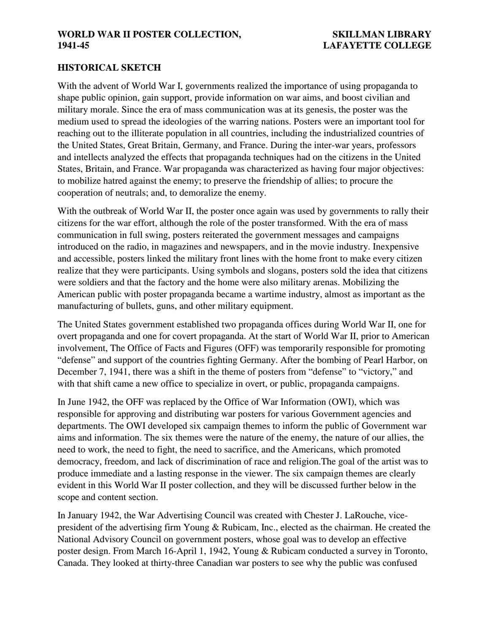#### **HISTORICAL SKETCH**

With the advent of World War I, governments realized the importance of using propaganda to shape public opinion, gain support, provide information on war aims, and boost civilian and military morale. Since the era of mass communication was at its genesis, the poster was the medium used to spread the ideologies of the warring nations. Posters were an important tool for reaching out to the illiterate population in all countries, including the industrialized countries of the United States, Great Britain, Germany, and France. During the inter-war years, professors and intellects analyzed the effects that propaganda techniques had on the citizens in the United States, Britain, and France. War propaganda was characterized as having four major objectives: to mobilize hatred against the enemy; to preserve the friendship of allies; to procure the cooperation of neutrals; and, to demoralize the enemy.

With the outbreak of World War II, the poster once again was used by governments to rally their citizens for the war effort, although the role of the poster transformed. With the era of mass communication in full swing, posters reiterated the government messages and campaigns introduced on the radio, in magazines and newspapers, and in the movie industry. Inexpensive and accessible, posters linked the military front lines with the home front to make every citizen realize that they were participants. Using symbols and slogans, posters sold the idea that citizens were soldiers and that the factory and the home were also military arenas. Mobilizing the American public with poster propaganda became a wartime industry, almost as important as the manufacturing of bullets, guns, and other military equipment.

The United States government established two propaganda offices during World War II, one for overt propaganda and one for covert propaganda. At the start of World War II, prior to American involvement, The Office of Facts and Figures (OFF) was temporarily responsible for promoting "defense" and support of the countries fighting Germany. After the bombing of Pearl Harbor, on December 7, 1941, there was a shift in the theme of posters from "defense" to "victory," and with that shift came a new office to specialize in overt, or public, propaganda campaigns.

In June 1942, the OFF was replaced by the Office of War Information (OWI), which was responsible for approving and distributing war posters for various Government agencies and departments. The OWI developed six campaign themes to inform the public of Government war aims and information. The six themes were the nature of the enemy, the nature of our allies, the need to work, the need to fight, the need to sacrifice, and the Americans, which promoted democracy, freedom, and lack of discrimination of race and religion.The goal of the artist was to produce immediate and a lasting response in the viewer. The six campaign themes are clearly evident in this World War II poster collection, and they will be discussed further below in the scope and content section.

In January 1942, the War Advertising Council was created with Chester J. LaRouche, vicepresident of the advertising firm Young & Rubicam, Inc., elected as the chairman. He created the National Advisory Council on government posters, whose goal was to develop an effective poster design. From March 16-April 1, 1942, Young & Rubicam conducted a survey in Toronto, Canada. They looked at thirty-three Canadian war posters to see why the public was confused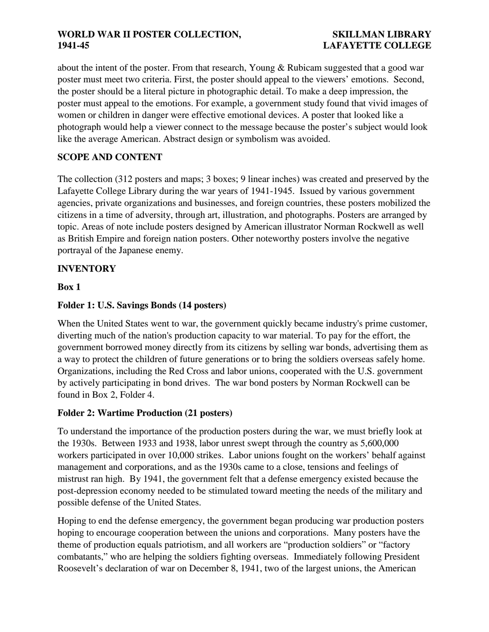about the intent of the poster. From that research, Young & Rubicam suggested that a good war poster must meet two criteria. First, the poster should appeal to the viewers' emotions. Second, the poster should be a literal picture in photographic detail. To make a deep impression, the poster must appeal to the emotions. For example, a government study found that vivid images of women or children in danger were effective emotional devices. A poster that looked like a photograph would help a viewer connect to the message because the poster's subject would look like the average American. Abstract design or symbolism was avoided.

# **SCOPE AND CONTENT**

The collection (312 posters and maps; 3 boxes; 9 linear inches) was created and preserved by the Lafayette College Library during the war years of 1941-1945. Issued by various government agencies, private organizations and businesses, and foreign countries, these posters mobilized the citizens in a time of adversity, through art, illustration, and photographs. Posters are arranged by topic. Areas of note include posters designed by American illustrator Norman Rockwell as well as British Empire and foreign nation posters. Other noteworthy posters involve the negative portrayal of the Japanese enemy.

# **INVENTORY**

## **Box 1**

# **Folder 1: U.S. Savings Bonds (14 posters)**

When the United States went to war, the government quickly became industry's prime customer, diverting much of the nation's production capacity to war material. To pay for the effort, the government borrowed money directly from its citizens by selling war bonds, advertising them as a way to protect the children of future generations or to bring the soldiers overseas safely home. Organizations, including the Red Cross and labor unions, cooperated with the U.S. government by actively participating in bond drives. The war bond posters by Norman Rockwell can be found in Box 2, Folder 4.

# **Folder 2: Wartime Production (21 posters)**

To understand the importance of the production posters during the war, we must briefly look at the 1930s. Between 1933 and 1938, labor unrest swept through the country as 5,600,000 workers participated in over 10,000 strikes. Labor unions fought on the workers' behalf against management and corporations, and as the 1930s came to a close, tensions and feelings of mistrust ran high. By 1941, the government felt that a defense emergency existed because the post-depression economy needed to be stimulated toward meeting the needs of the military and possible defense of the United States.

Hoping to end the defense emergency, the government began producing war production posters hoping to encourage cooperation between the unions and corporations. Many posters have the theme of production equals patriotism, and all workers are "production soldiers" or "factory combatants," who are helping the soldiers fighting overseas. Immediately following President Roosevelt's declaration of war on December 8, 1941, two of the largest unions, the American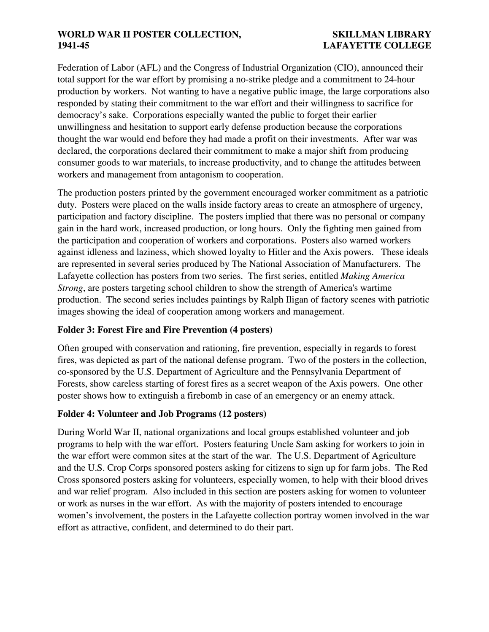Federation of Labor (AFL) and the Congress of Industrial Organization (CIO), announced their total support for the war effort by promising a no-strike pledge and a commitment to 24-hour production by workers. Not wanting to have a negative public image, the large corporations also responded by stating their commitment to the war effort and their willingness to sacrifice for democracy's sake. Corporations especially wanted the public to forget their earlier unwillingness and hesitation to support early defense production because the corporations thought the war would end before they had made a profit on their investments. After war was declared, the corporations declared their commitment to make a major shift from producing consumer goods to war materials, to increase productivity, and to change the attitudes between workers and management from antagonism to cooperation.

The production posters printed by the government encouraged worker commitment as a patriotic duty. Posters were placed on the walls inside factory areas to create an atmosphere of urgency, participation and factory discipline. The posters implied that there was no personal or company gain in the hard work, increased production, or long hours. Only the fighting men gained from the participation and cooperation of workers and corporations. Posters also warned workers against idleness and laziness, which showed loyalty to Hitler and the Axis powers. These ideals are represented in several series produced by The National Association of Manufacturers. The Lafayette collection has posters from two series. The first series, entitled *Making America Strong*, are posters targeting school children to show the strength of America's wartime production. The second series includes paintings by Ralph Iligan of factory scenes with patriotic images showing the ideal of cooperation among workers and management.

## **Folder 3: Forest Fire and Fire Prevention (4 posters)**

Often grouped with conservation and rationing, fire prevention, especially in regards to forest fires, was depicted as part of the national defense program. Two of the posters in the collection, co-sponsored by the U.S. Department of Agriculture and the Pennsylvania Department of Forests, show careless starting of forest fires as a secret weapon of the Axis powers. One other poster shows how to extinguish a firebomb in case of an emergency or an enemy attack.

## **Folder 4: Volunteer and Job Programs (12 posters)**

During World War II, national organizations and local groups established volunteer and job programs to help with the war effort. Posters featuring Uncle Sam asking for workers to join in the war effort were common sites at the start of the war. The U.S. Department of Agriculture and the U.S. Crop Corps sponsored posters asking for citizens to sign up for farm jobs. The Red Cross sponsored posters asking for volunteers, especially women, to help with their blood drives and war relief program. Also included in this section are posters asking for women to volunteer or work as nurses in the war effort. As with the majority of posters intended to encourage women's involvement, the posters in the Lafayette collection portray women involved in the war effort as attractive, confident, and determined to do their part.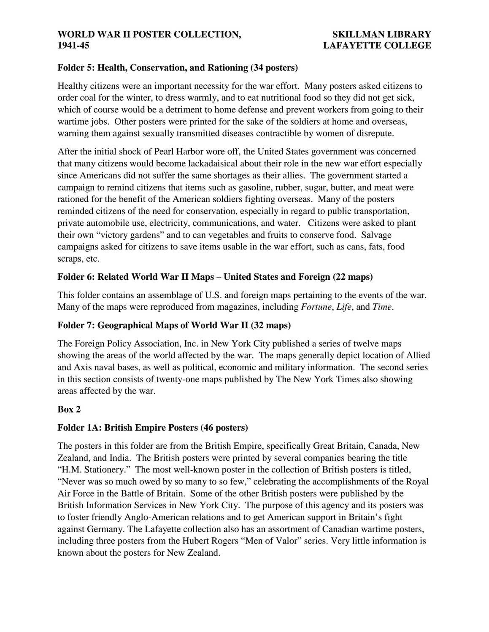## **Folder 5: Health, Conservation, and Rationing (34 posters)**

Healthy citizens were an important necessity for the war effort. Many posters asked citizens to order coal for the winter, to dress warmly, and to eat nutritional food so they did not get sick, which of course would be a detriment to home defense and prevent workers from going to their wartime jobs. Other posters were printed for the sake of the soldiers at home and overseas, warning them against sexually transmitted diseases contractible by women of disrepute.

After the initial shock of Pearl Harbor wore off, the United States government was concerned that many citizens would become lackadaisical about their role in the new war effort especially since Americans did not suffer the same shortages as their allies. The government started a campaign to remind citizens that items such as gasoline, rubber, sugar, butter, and meat were rationed for the benefit of the American soldiers fighting overseas. Many of the posters reminded citizens of the need for conservation, especially in regard to public transportation, private automobile use, electricity, communications, and water. Citizens were asked to plant their own "victory gardens" and to can vegetables and fruits to conserve food. Salvage campaigns asked for citizens to save items usable in the war effort, such as cans, fats, food scraps, etc.

## **Folder 6: Related World War II Maps – United States and Foreign (22 maps)**

This folder contains an assemblage of U.S. and foreign maps pertaining to the events of the war. Many of the maps were reproduced from magazines, including *Fortune*, *Life*, and *Time*.

## **Folder 7: Geographical Maps of World War II (32 maps)**

The Foreign Policy Association, Inc. in New York City published a series of twelve maps showing the areas of the world affected by the war. The maps generally depict location of Allied and Axis naval bases, as well as political, economic and military information. The second series in this section consists of twenty-one maps published by The New York Times also showing areas affected by the war.

## **Box 2**

## **Folder 1A: British Empire Posters (46 posters)**

The posters in this folder are from the British Empire, specifically Great Britain, Canada, New Zealand, and India. The British posters were printed by several companies bearing the title "H.M. Stationery." The most well-known poster in the collection of British posters is titled, "Never was so much owed by so many to so few," celebrating the accomplishments of the Royal Air Force in the Battle of Britain. Some of the other British posters were published by the British Information Services in New York City. The purpose of this agency and its posters was to foster friendly Anglo-American relations and to get American support in Britain's fight against Germany. The Lafayette collection also has an assortment of Canadian wartime posters, including three posters from the Hubert Rogers "Men of Valor" series. Very little information is known about the posters for New Zealand.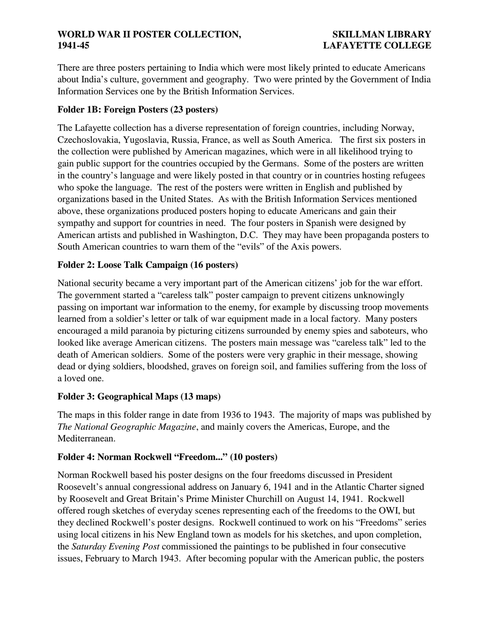There are three posters pertaining to India which were most likely printed to educate Americans about India's culture, government and geography. Two were printed by the Government of India Information Services one by the British Information Services.

# **Folder 1B: Foreign Posters (23 posters)**

The Lafayette collection has a diverse representation of foreign countries, including Norway, Czechoslovakia, Yugoslavia, Russia, France, as well as South America. The first six posters in the collection were published by American magazines, which were in all likelihood trying to gain public support for the countries occupied by the Germans. Some of the posters are written in the country's language and were likely posted in that country or in countries hosting refugees who spoke the language. The rest of the posters were written in English and published by organizations based in the United States. As with the British Information Services mentioned above, these organizations produced posters hoping to educate Americans and gain their sympathy and support for countries in need. The four posters in Spanish were designed by American artists and published in Washington, D.C. They may have been propaganda posters to South American countries to warn them of the "evils" of the Axis powers.

# **Folder 2: Loose Talk Campaign (16 posters)**

National security became a very important part of the American citizens' job for the war effort. The government started a "careless talk" poster campaign to prevent citizens unknowingly passing on important war information to the enemy, for example by discussing troop movements learned from a soldier's letter or talk of war equipment made in a local factory. Many posters encouraged a mild paranoia by picturing citizens surrounded by enemy spies and saboteurs, who looked like average American citizens. The posters main message was "careless talk" led to the death of American soldiers. Some of the posters were very graphic in their message, showing dead or dying soldiers, bloodshed, graves on foreign soil, and families suffering from the loss of a loved one.

## **Folder 3: Geographical Maps (13 maps)**

The maps in this folder range in date from 1936 to 1943. The majority of maps was published by *The National Geographic Magazine*, and mainly covers the Americas, Europe, and the Mediterranean.

## **Folder 4: Norman Rockwell "Freedom..." (10 posters)**

Norman Rockwell based his poster designs on the four freedoms discussed in President Roosevelt's annual congressional address on January 6, 1941 and in the Atlantic Charter signed by Roosevelt and Great Britain's Prime Minister Churchill on August 14, 1941. Rockwell offered rough sketches of everyday scenes representing each of the freedoms to the OWI, but they declined Rockwell's poster designs. Rockwell continued to work on his "Freedoms" series using local citizens in his New England town as models for his sketches, and upon completion, the *Saturday Evening Post* commissioned the paintings to be published in four consecutive issues, February to March 1943. After becoming popular with the American public, the posters